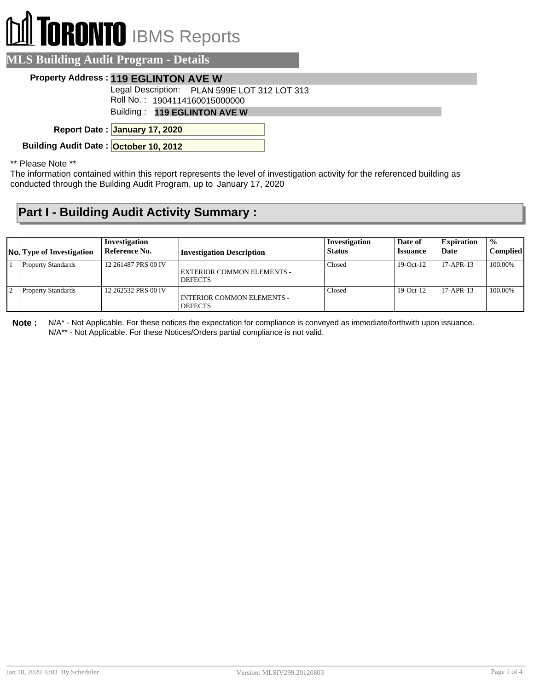## **TORONTO** IBMS Reports

| <b>MLS Building Audit Program - Details</b>                                   |
|-------------------------------------------------------------------------------|
| <b>Property Address: 119 EGLINTON AVE W</b>                                   |
| Legal Description: PLAN 599E LOT 312 LOT 313<br>Roll No.: 1904114160015000000 |
| Building: 119 EGLINTON AVE W                                                  |
| Report Date: January 17, 2020                                                 |
| Building Audit Date: October 10, 2012                                         |
| $*$ Dloggo Nota $*$                                                           |

Please Note

The information contained within this report represents the level of investigation activity for the referenced building as conducted through the Building Audit Program, up to January 17, 2020

## **Part I - Building Audit Activity Summary :**

| <b>No.</b> Type of Investigation | Investigation<br>Reference No. | <b>Investigation Description</b>                    | Investigation<br><b>Status</b> | Date of<br><i><b>Issuance</b></i> | <b>Expiration</b><br>Date | $\frac{0}{0}$<br>Complied |
|----------------------------------|--------------------------------|-----------------------------------------------------|--------------------------------|-----------------------------------|---------------------------|---------------------------|
| <b>Property Standards</b>        | 12 261487 PRS 00 IV            | EXTERIOR COMMON ELEMENTS -<br><b>DEFECTS</b>        | Closed                         | $19-Oct-12$                       | $17 - APR - 13$           | 100.00%                   |
| <b>Property Standards</b>        | 12 262532 PRS 00 IV            | <b>INTERIOR COMMON ELEMENTS -</b><br><b>DEFECTS</b> | Closed                         | $19-Oct-12$                       | $17-APR-13$               | 100.00%                   |

**Note :** N/A\* - Not Applicable. For these notices the expectation for compliance is conveyed as immediate/forthwith upon issuance. N/A\*\* - Not Applicable. For these Notices/Orders partial compliance is not valid.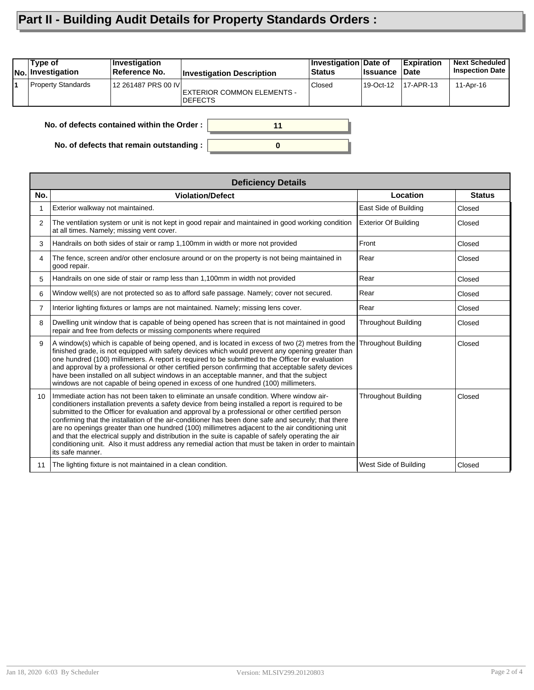## **Part II - Building Audit Details for Property Standards Orders :**

| Type of<br>No. Investigation               | Investigation<br>Reference No. | <b>Investigation Description</b>              | Investigation Date of<br><b>Status</b> | ∣Issuance | <b>Expiration</b><br>∣Date | <b>Next Scheduled</b><br><b>Inspection Date</b> |  |
|--------------------------------------------|--------------------------------|-----------------------------------------------|----------------------------------------|-----------|----------------------------|-------------------------------------------------|--|
| <b>Property Standards</b>                  | 12 261487 PRS 00 IVI           | EXTERIOR COMMON ELEMENTS -<br><b>IDEFECTS</b> | Closed                                 | 19-Oct-12 | 17-APR-13                  | 11-Apr-16                                       |  |
| No. of defects contained within the Order: |                                |                                               |                                        |           |                            |                                                 |  |

**0**

**No. of defects that remain outstanding :**

|                 | <b>Deficiency Details</b>                                                                                                                                                                                                                                                                                                                                                                                                                                                                                                                                                                                                                                                                                                                      |                             |               |  |  |  |  |  |
|-----------------|------------------------------------------------------------------------------------------------------------------------------------------------------------------------------------------------------------------------------------------------------------------------------------------------------------------------------------------------------------------------------------------------------------------------------------------------------------------------------------------------------------------------------------------------------------------------------------------------------------------------------------------------------------------------------------------------------------------------------------------------|-----------------------------|---------------|--|--|--|--|--|
| No.             | <b>Violation/Defect</b>                                                                                                                                                                                                                                                                                                                                                                                                                                                                                                                                                                                                                                                                                                                        | Location                    | <b>Status</b> |  |  |  |  |  |
|                 | Exterior walkway not maintained.                                                                                                                                                                                                                                                                                                                                                                                                                                                                                                                                                                                                                                                                                                               | East Side of Building       | Closed        |  |  |  |  |  |
| 2               | The ventilation system or unit is not kept in good repair and maintained in good working condition<br>at all times. Namely; missing vent cover.                                                                                                                                                                                                                                                                                                                                                                                                                                                                                                                                                                                                | <b>Exterior Of Building</b> | Closed        |  |  |  |  |  |
| 3               | Handrails on both sides of stair or ramp 1,100mm in width or more not provided                                                                                                                                                                                                                                                                                                                                                                                                                                                                                                                                                                                                                                                                 | Front                       | Closed        |  |  |  |  |  |
| 4               | The fence, screen and/or other enclosure around or on the property is not being maintained in<br>good repair.                                                                                                                                                                                                                                                                                                                                                                                                                                                                                                                                                                                                                                  | Rear                        | Closed        |  |  |  |  |  |
| 5               | Handrails on one side of stair or ramp less than 1,100mm in width not provided                                                                                                                                                                                                                                                                                                                                                                                                                                                                                                                                                                                                                                                                 | Rear                        | Closed        |  |  |  |  |  |
| 6               | Window well(s) are not protected so as to afford safe passage. Namely; cover not secured.                                                                                                                                                                                                                                                                                                                                                                                                                                                                                                                                                                                                                                                      | Rear                        | Closed        |  |  |  |  |  |
| 7               | Interior lighting fixtures or lamps are not maintained. Namely; missing lens cover.                                                                                                                                                                                                                                                                                                                                                                                                                                                                                                                                                                                                                                                            | Rear                        | Closed        |  |  |  |  |  |
| 8               | Dwelling unit window that is capable of being opened has screen that is not maintained in good<br>repair and free from defects or missing components where required                                                                                                                                                                                                                                                                                                                                                                                                                                                                                                                                                                            | <b>Throughout Building</b>  | Closed        |  |  |  |  |  |
| 9               | A window(s) which is capable of being opened, and is located in excess of two (2) metres from the Throughout Building<br>finished grade, is not equipped with safety devices which would prevent any opening greater than<br>one hundred (100) millimeters. A report is required to be submitted to the Officer for evaluation<br>and approval by a professional or other certified person confirming that acceptable safety devices<br>have been installed on all subject windows in an acceptable manner, and that the subject<br>windows are not capable of being opened in excess of one hundred (100) millimeters.                                                                                                                        |                             | Closed        |  |  |  |  |  |
| 10 <sup>°</sup> | Immediate action has not been taken to eliminate an unsafe condition. Where window air-<br>conditioners installation prevents a safety device from being installed a report is required to be<br>submitted to the Officer for evaluation and approval by a professional or other certified person<br>confirming that the installation of the air-conditioner has been done safe and securely; that there<br>are no openings greater than one hundred (100) millimetres adjacent to the air conditioning unit<br>and that the electrical supply and distribution in the suite is capable of safely operating the air<br>conditioning unit. Also it must address any remedial action that must be taken in order to maintain<br>its safe manner. | <b>Throughout Building</b>  | Closed        |  |  |  |  |  |
| 11              | The lighting fixture is not maintained in a clean condition.                                                                                                                                                                                                                                                                                                                                                                                                                                                                                                                                                                                                                                                                                   | West Side of Building       | Closed        |  |  |  |  |  |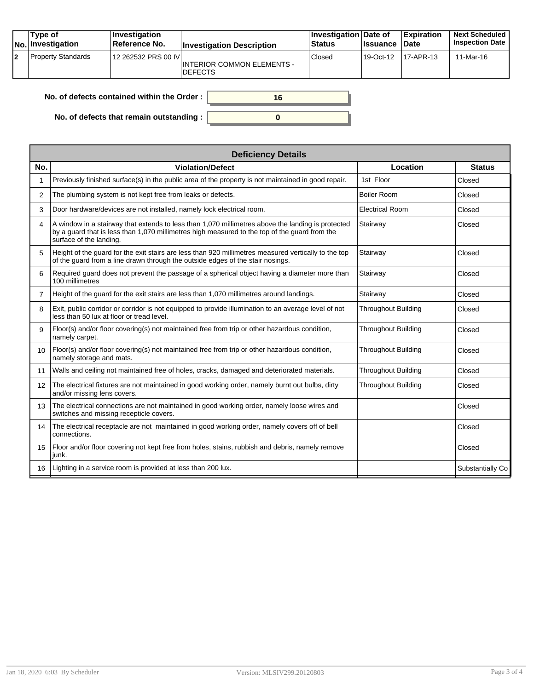|    | Type of<br>No. Investigation | <b>Investigation</b><br>Reference No. | <b>Investigation Description</b>             | Investigation Date of<br><b>Status</b> | <b>Issuance Date</b> | Expiration  | <b>Next Scheduled</b><br><b>Inspection Date</b> |
|----|------------------------------|---------------------------------------|----------------------------------------------|----------------------------------------|----------------------|-------------|-------------------------------------------------|
| 12 | <b>Property Standards</b>    | 12 262532 PRS 00 IVI                  | INTERIOR COMMON ELEMENTS -<br><b>DEFECTS</b> | Closed                                 | 19-Oct-12            | $17-APR-13$ | 11-Mar-16                                       |

| No. of defects contained within the Order :      |  |
|--------------------------------------------------|--|
| No. of defects that remain outstanding : $\vert$ |  |

| <b>Deficiency Details</b> |                                                                                                                                                                                                                               |                            |                  |  |  |  |
|---------------------------|-------------------------------------------------------------------------------------------------------------------------------------------------------------------------------------------------------------------------------|----------------------------|------------------|--|--|--|
| No.                       | <b>Violation/Defect</b>                                                                                                                                                                                                       | Location                   | <b>Status</b>    |  |  |  |
|                           | Previously finished surface(s) in the public area of the property is not maintained in good repair.                                                                                                                           | 1st Floor                  | Closed           |  |  |  |
| 2                         | The plumbing system is not kept free from leaks or defects.                                                                                                                                                                   | <b>Boiler Room</b>         | Closed           |  |  |  |
| 3                         | Door hardware/devices are not installed, namely lock electrical room.                                                                                                                                                         | <b>Electrical Room</b>     | Closed           |  |  |  |
| 4                         | A window in a stairway that extends to less than 1,070 millimetres above the landing is protected<br>by a guard that is less than 1,070 millimetres high measured to the top of the guard from the<br>surface of the landing. | Stairway                   | Closed           |  |  |  |
| 5                         | Height of the guard for the exit stairs are less than 920 millimetres measured vertically to the top<br>of the quard from a line drawn through the outside edges of the stair nosings.                                        | Stairway                   | Closed           |  |  |  |
| 6                         | Required guard does not prevent the passage of a spherical object having a diameter more than<br>100 millimetres                                                                                                              | Stairway                   | Closed           |  |  |  |
| $\overline{7}$            | Height of the guard for the exit stairs are less than 1,070 millimetres around landings.                                                                                                                                      | Stairway                   | Closed           |  |  |  |
| 8                         | Exit, public corridor or corridor is not equipped to provide illumination to an average level of not<br>less than 50 lux at floor or tread level.                                                                             | Throughout Building        | Closed           |  |  |  |
| 9                         | Floor(s) and/or floor covering(s) not maintained free from trip or other hazardous condition,<br>namely carpet.                                                                                                               | <b>Throughout Building</b> | Closed           |  |  |  |
| 10                        | Floor(s) and/or floor covering(s) not maintained free from trip or other hazardous condition,<br>namely storage and mats.                                                                                                     | <b>Throughout Building</b> | Closed           |  |  |  |
| 11                        | Walls and ceiling not maintained free of holes, cracks, damaged and deteriorated materials.                                                                                                                                   | <b>Throughout Building</b> | Closed           |  |  |  |
| 12                        | The electrical fixtures are not maintained in good working order, namely burnt out bulbs, dirty<br>and/or missing lens covers.                                                                                                | <b>Throughout Building</b> | Closed           |  |  |  |
| 13                        | The electrical connections are not maintained in good working order, namely loose wires and<br>switches and missing recepticle covers.                                                                                        |                            | Closed           |  |  |  |
| 14                        | The electrical receptacle are not maintained in good working order, namely covers off of bell<br>connections.                                                                                                                 |                            | Closed           |  |  |  |
| 15                        | Floor and/or floor covering not kept free from holes, stains, rubbish and debris, namely remove<br>junk.                                                                                                                      |                            | Closed           |  |  |  |
| 16                        | Lighting in a service room is provided at less than 200 lux.                                                                                                                                                                  |                            | Substantially Co |  |  |  |